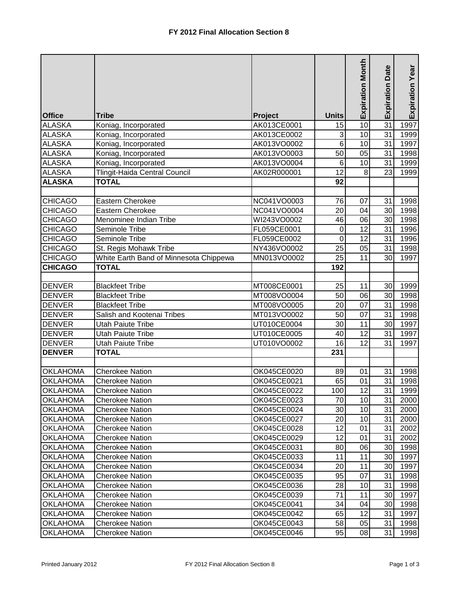|                 |                                        |             |                 | <b>Expiration Month</b> | <b>Expiration Date</b> | Expiration Year |
|-----------------|----------------------------------------|-------------|-----------------|-------------------------|------------------------|-----------------|
| <b>Office</b>   | <b>Tribe</b>                           | Project     | <b>Units</b>    |                         |                        |                 |
| <b>ALASKA</b>   | Koniag, Incorporated                   | AK013CE0001 | 15              | 10                      | $\overline{31}$        | 1997            |
| <b>ALASKA</b>   | Koniag, Incorporated                   | AK013CE0002 | 3               | 10                      | 31                     | 1999            |
| <b>ALASKA</b>   | Koniag, Incorporated                   | AK013VO0002 | 6               | 10                      | 31                     | 1997            |
| <b>ALASKA</b>   | Koniag, Incorporated                   | AK013VO0003 | 50              | 05                      | 31                     | 1998            |
| <b>ALASKA</b>   | Koniag, Incorporated                   | AK013VO0004 | 6               | 10                      | 31                     | 1999            |
| <b>ALASKA</b>   | Tlingit-Haida Central Council          | AK02R000001 | $\overline{12}$ | 8                       | 23                     | 1999            |
| <b>ALASKA</b>   | <b>TOTAL</b>                           |             | 92              |                         |                        |                 |
|                 |                                        |             |                 |                         |                        |                 |
| <b>CHICAGO</b>  | Eastern Cherokee                       | NC041VO0003 | 76              | 07                      | 31                     | 1998            |
| <b>CHICAGO</b>  | Eastern Cherokee                       | NC041VO0004 | 20              | 04                      | 30                     | 1998            |
| <b>CHICAGO</b>  | Menominee Indian Tribe                 | WI243VO0002 | 46              | 06                      | 30                     | 1998            |
| <b>CHICAGO</b>  | Seminole Tribe                         | FL059CE0001 | $\mathbf 0$     | 12                      | 31                     | 1996            |
| <b>CHICAGO</b>  | Seminole Tribe                         | FL059CE0002 | 0               | 12                      | 31                     | 1996            |
| <b>CHICAGO</b>  | St. Regis Mohawk Tribe                 | NY436VO0002 | $\overline{25}$ | $\overline{05}$         | 31                     | 1998            |
| <b>CHICAGO</b>  | White Earth Band of Minnesota Chippewa | MN013VO0002 | 25              | 11                      | 30                     | 1997            |
| <b>CHICAGO</b>  | <b>TOTAL</b>                           |             | 192             |                         |                        |                 |
| <b>DENVER</b>   | <b>Blackfeet Tribe</b>                 | MT008CE0001 | 25              | 11                      | 30                     | 1999            |
| <b>DENVER</b>   | <b>Blackfeet Tribe</b>                 | MT008VO0004 | 50              | 06                      | 30                     | 1998            |
| <b>DENVER</b>   | <b>Blackfeet Tribe</b>                 | MT008VO0005 | 20              | 07                      | 31                     | 1998            |
| <b>DENVER</b>   | Salish and Kootenai Tribes             | MT013VO0002 | 50              | 07                      | 31                     | 1998            |
| <b>DENVER</b>   | <b>Utah Paiute Tribe</b>               | UT010CE0004 | 30              | 11                      | 30                     | 1997            |
| <b>DENVER</b>   | <b>Utah Paiute Tribe</b>               | UT010CE0005 | 40              | 12                      | 31                     | 1997            |
| <b>DENVER</b>   | <b>Utah Paiute Tribe</b>               | UT010VO0002 | 16              | $\overline{12}$         | 31                     | 1997            |
| <b>DENVER</b>   | <b>TOTAL</b>                           |             | 231             |                         |                        |                 |
|                 |                                        |             |                 |                         |                        |                 |
| <b>OKLAHOMA</b> | <b>Cherokee Nation</b>                 | OK045CE0020 | 89              | 01                      | 31                     | 1998            |
| <b>OKLAHOMA</b> | <b>Cherokee Nation</b>                 | OK045CE0021 | 65              | 01                      | 31                     | 1998            |
| <b>OKLAHOMA</b> | <b>Cherokee Nation</b>                 | OK045CE0022 | 100             | $\overline{12}$         | 31                     | 1999            |
| <b>OKLAHOMA</b> | <b>Cherokee Nation</b>                 | OK045CE0023 | 70              | 10                      | 31                     | 2000            |
| <b>OKLAHOMA</b> | <b>Cherokee Nation</b>                 | OK045CE0024 | 30              | 10                      | 31                     | 2000            |
| <b>OKLAHOMA</b> | <b>Cherokee Nation</b>                 | OK045CE0027 | 20              | 10                      | 31                     | 2000            |
| <b>OKLAHOMA</b> | <b>Cherokee Nation</b>                 | OK045CE0028 | 12              | 01                      | 31                     | 2002            |
| <b>OKLAHOMA</b> | <b>Cherokee Nation</b>                 | OK045CE0029 | 12              | 01                      | 31                     | 2002            |
| <b>OKLAHOMA</b> | <b>Cherokee Nation</b>                 | OK045CE0031 | 80              | 06                      | 30                     | 1998            |
| <b>OKLAHOMA</b> | <b>Cherokee Nation</b>                 | OK045CE0033 | 11              | 11                      | 30                     | 1997            |
| <b>OKLAHOMA</b> | <b>Cherokee Nation</b>                 | OK045CE0034 | 20              | 11                      | 30                     | 1997            |
| <b>OKLAHOMA</b> | <b>Cherokee Nation</b>                 | OK045CE0035 | 95              | 07                      | 31                     | 1998            |
| <b>OKLAHOMA</b> | <b>Cherokee Nation</b>                 | OK045CE0036 | 28              | 10                      | 31                     | 1998            |
| <b>OKLAHOMA</b> | <b>Cherokee Nation</b>                 | OK045CE0039 | 71              | 11                      | 30                     | 1997            |
| <b>OKLAHOMA</b> | <b>Cherokee Nation</b>                 | OK045CE0041 | 34              | 04                      | 30                     | 1998            |
| <b>OKLAHOMA</b> | <b>Cherokee Nation</b>                 | OK045CE0042 | 65              | 12                      | 31                     | 1997            |
| <b>OKLAHOMA</b> | Cherokee Nation                        | OK045CE0043 | 58              | 05                      | 31                     | 1998            |
| <b>OKLAHOMA</b> | <b>Cherokee Nation</b>                 | OK045CE0046 | 95              | 08                      | 31                     | 1998            |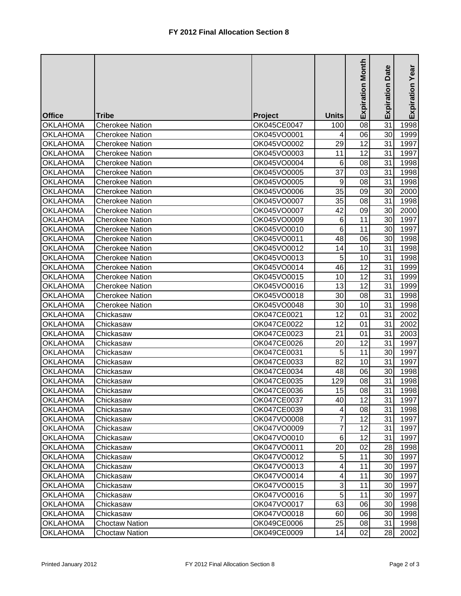|                 |                        |             |                           | <b>Expiration Month</b> | Date<br>Expiration | Expiration Year |
|-----------------|------------------------|-------------|---------------------------|-------------------------|--------------------|-----------------|
| <b>Office</b>   | Tribe                  | Project     | <b>Units</b>              |                         |                    |                 |
| <b>OKLAHOMA</b> | <b>Cherokee Nation</b> | OK045CE0047 | 100                       | 08                      | 31                 | 1998            |
| <b>OKLAHOMA</b> | <b>Cherokee Nation</b> | OK045VO0001 | 4                         | 06                      | 30                 | 1999            |
| <b>OKLAHOMA</b> | <b>Cherokee Nation</b> | OK045VO0002 | 29                        | 12                      | 31                 | 1997            |
| <b>OKLAHOMA</b> | <b>Cherokee Nation</b> | OK045VO0003 | 11                        | 12                      | 31                 | 1997            |
| <b>OKLAHOMA</b> | <b>Cherokee Nation</b> | OK045VO0004 | 6                         | 08                      | 31                 | 1998            |
| <b>OKLAHOMA</b> | <b>Cherokee Nation</b> | OK045VO0005 | 37                        | 03                      | 31                 | 1998            |
| <b>OKLAHOMA</b> | <b>Cherokee Nation</b> | OK045VO0005 | $\boldsymbol{9}$          | 08                      | 31                 | 1998            |
| <b>OKLAHOMA</b> | Cherokee Nation        | OK045VO0006 | 35                        | 09                      | 30                 | 2000            |
| <b>OKLAHOMA</b> | <b>Cherokee Nation</b> | OK045VO0007 | 35                        | 08                      | 31                 | 1998            |
| <b>OKLAHOMA</b> | <b>Cherokee Nation</b> | OK045VO0007 | 42                        | 09                      | 30                 | 2000            |
| <b>OKLAHOMA</b> | <b>Cherokee Nation</b> | OK045VO0009 | $\,6$                     | 11                      | 30                 | 1997            |
| <b>OKLAHOMA</b> | <b>Cherokee Nation</b> | OK045VO0010 | $\,6$                     | 11                      | 30                 | 1997            |
| <b>OKLAHOMA</b> | <b>Cherokee Nation</b> | OK045VO0011 | 48                        | 06                      | 30                 | 1998            |
| <b>OKLAHOMA</b> | <b>Cherokee Nation</b> | OK045VO0012 | 14                        | 10                      | 31                 | 1998            |
| <b>OKLAHOMA</b> | <b>Cherokee Nation</b> | OK045VO0013 | 5                         | 10                      | 31                 | 1998            |
| <b>OKLAHOMA</b> | <b>Cherokee Nation</b> | OK045VO0014 | 46                        | 12                      | 31                 | 1999            |
| <b>OKLAHOMA</b> | <b>Cherokee Nation</b> | OK045VO0015 | 10                        | 12                      | 31                 | 1999            |
| <b>OKLAHOMA</b> | <b>Cherokee Nation</b> | OK045VO0016 | 13                        | 12                      | 31                 | 1999            |
| <b>OKLAHOMA</b> | <b>Cherokee Nation</b> | OK045VO0018 | 30                        | 08                      | 31                 | 1998            |
| <b>OKLAHOMA</b> | <b>Cherokee Nation</b> | OK045VO0048 | 30                        | 10                      | 31                 | 1998            |
| <b>OKLAHOMA</b> | Chickasaw              | OK047CE0021 | 12                        | 01                      | 31                 | 2002            |
| <b>OKLAHOMA</b> | Chickasaw              | OK047CE0022 | 12                        | 01                      | 31                 | 2002            |
| <b>OKLAHOMA</b> | Chickasaw              | OK047CE0023 | 21                        | 01                      | 31                 | 2003            |
| <b>OKLAHOMA</b> | Chickasaw              | OK047CE0026 | 20                        | 12                      | 31                 | 1997            |
| <b>OKLAHOMA</b> | Chickasaw              | OK047CE0031 | 5                         | 11                      | 30                 | 1997            |
| <b>OKLAHOMA</b> | Chickasaw              | OK047CE0033 | 82                        | 10                      | 31                 | 1997            |
| <b>OKLAHOMA</b> | Chickasaw              | OK047CE0034 | 48                        | 06                      | 30                 | 1998            |
| <b>OKLAHOMA</b> | Chickasaw              | OK047CE0035 | 129                       | 08                      | 31                 | 1998            |
| <b>OKLAHOMA</b> | Chickasaw              | OK047CE0036 | 15                        | 08                      | 31                 | 1998            |
| <b>OKLAHOMA</b> | Chickasaw              | OK047CE0037 | 40                        | 12                      | 31                 | 1997            |
| <b>OKLAHOMA</b> | Chickasaw              | OK047CE0039 | 4                         | 08                      | 31                 | 1998            |
| <b>OKLAHOMA</b> | Chickasaw              | OK047VO0008 | 7                         | 12                      | 31                 | 1997            |
| <b>OKLAHOMA</b> | Chickasaw              | OK047VO0009 | $\overline{7}$            | 12                      | 31                 | 1997            |
| <b>OKLAHOMA</b> | Chickasaw              | OK047VO0010 | $\,6$                     | 12                      | 31                 | 1997            |
| <b>OKLAHOMA</b> | Chickasaw              | OK047VO0011 | 20                        | 02                      | 28                 | 1998            |
| <b>OKLAHOMA</b> | Chickasaw              | OK047VO0012 | $\sqrt{5}$                | 11                      | 30                 | 1997            |
| <b>OKLAHOMA</b> | Chickasaw              | OK047VO0013 | 4                         | 11                      | 30                 | 1997            |
| <b>OKLAHOMA</b> | Chickasaw              | OK047VO0014 | 4                         | 11                      | 30                 | 1997            |
| <b>OKLAHOMA</b> | Chickasaw              | OK047VO0015 | $\ensuremath{\mathsf{3}}$ | 11                      | 30                 | 1997            |
| <b>OKLAHOMA</b> | Chickasaw              | OK047VO0016 | $\sqrt{5}$                | 11                      | 30                 | 1997            |
| <b>OKLAHOMA</b> | Chickasaw              | OK047VO0017 | 63                        | 06                      | 30                 | 1998            |
| <b>OKLAHOMA</b> | Chickasaw              | OK047VO0018 | 60                        | 06                      | 30 <sub>l</sub>    | 1998            |
| <b>OKLAHOMA</b> | <b>Choctaw Nation</b>  | OK049CE0006 | 25                        | 08                      | 31                 | 1998            |
| <b>OKLAHOMA</b> | <b>Choctaw Nation</b>  | OK049CE0009 | 14                        | 02                      | 28                 | 2002            |